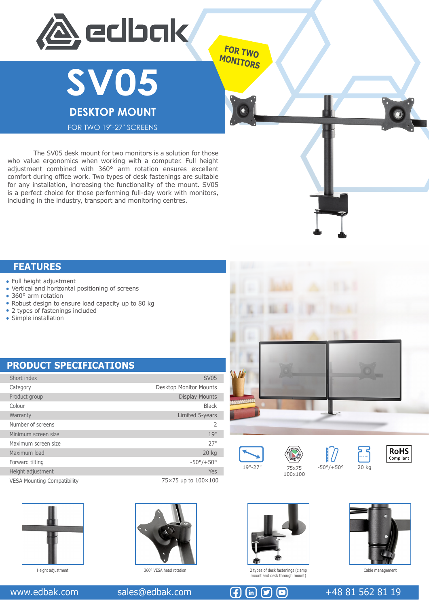



FOR TWO 19"-27" SCREENS

 The SV05 desk mount for two monitors is a solution for those who value ergonomics when working with a computer. Full height adjustment combined with 360° arm rotation ensures excellent comfort during office work. Two types of desk fastenings are suitable for any installation, increasing the functionality of the mount. SV05 is a perfect choice for those performing full-day work with monitors, including in the industry, transport and monitoring centres.

### **FEATURES**

- Full height adjustment
- Vertical and horizontal positioning of screens
- 360° arm rotation
- Robust design to ensure load capacity up to 80 kg
- 2 types of fastenings included
- Simple installation

## **PRODUCT SPECIFICATIONS**

| Short index                        | <b>SV05</b>                   |
|------------------------------------|-------------------------------|
| Category                           | <b>Desktop Monitor Mounts</b> |
| Product group                      | <b>Display Mounts</b>         |
| Colour                             | <b>Black</b>                  |
| Warranty                           | Limited 5-years               |
| Number of screens                  | 2                             |
| Minimum screen size                | 19"                           |
| Maximum screen size                | 27"                           |
| Maximum load                       | 20 kg                         |
| Forward tilting                    | $-50^{\circ}/+50^{\circ}$     |
| Height adjustment                  | Yes                           |
| <b>VESA Mounting Compatibility</b> | 75×75 up to 100×100           |





**FOR TWO MONITORS**











T,



Height adjustment 360° VESA head rotation 2 types of desk fastenings (clamp



mount and desk through mount)



Cable management

### www.edbak.com sales@edbak.com  $\left(\frac{1}{2}\right)$   $\left(\frac{1}{2}\right)$   $\left(\frac{1}{2}\right)$   $\left(\frac{1}{2}\right)$  +48 81 562 81 19